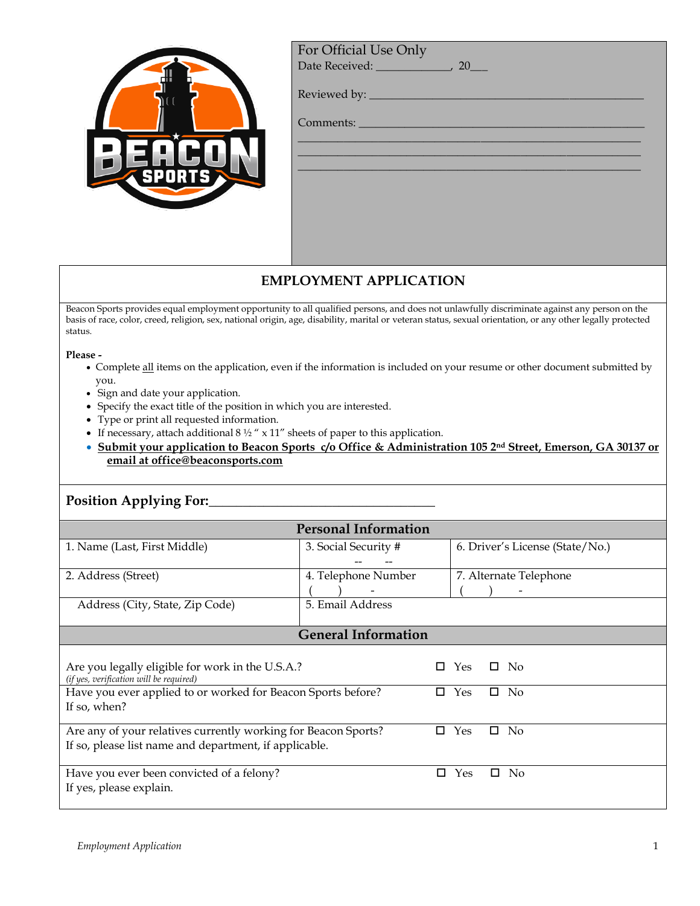| <b>PORTS</b> |
|--------------|

For Official Use Only

Date Received: \_\_\_\_\_\_\_\_\_\_\_\_\_\_\_, 20\_\_\_

 $\_$  , and the set of the set of the set of the set of the set of the set of the set of the set of the set of the set of the set of the set of the set of the set of the set of the set of the set of the set of the set of th  $\_$  , and the set of the set of the set of the set of the set of the set of the set of the set of the set of the set of the set of the set of the set of the set of the set of the set of the set of the set of the set of th  $\_$  , and the set of the set of the set of the set of the set of the set of the set of the set of the set of the set of the set of the set of the set of the set of the set of the set of the set of the set of the set of th

Reviewed by: \_\_\_\_\_\_\_\_\_\_\_\_\_\_\_\_\_\_\_\_\_\_\_\_\_\_\_\_\_\_\_\_\_\_\_\_\_\_\_\_\_\_\_\_\_\_\_\_

Comments:

## **EMPLOYMENT APPLICATION**

Beacon Sports provides equal employment opportunity to all qualified persons, and does not unlawfully discriminate against any person on the basis of race, color, creed, religion, sex, national origin, age, disability, marital or veteran status, sexual orientation, or any other legally protected status.

**Please -** 

- Complete all items on the application, even if the information is included on your resume or other document submitted by you.
- Sign and date your application.
- Specify the exact title of the position in which you are interested.
- Type or print all requested information.
- If necessary, attach additional 8  $\frac{1}{2}$  " x 11" sheets of paper to this application.
- **Submit your application to Beacon Sports c/o Office & Administration 105 2nd Street, Emerson, GA 30137 or email at office@beaconsports.com**

## **Position Applying For:**\_\_\_\_\_\_\_\_\_\_\_\_\_\_\_\_\_\_\_\_\_\_\_\_\_\_\_\_\_\_\_\_\_

| <b>Personal Information</b>                                                                 |                      |   |     |                                 |  |
|---------------------------------------------------------------------------------------------|----------------------|---|-----|---------------------------------|--|
|                                                                                             |                      |   |     |                                 |  |
| 1. Name (Last, First Middle)                                                                | 3. Social Security # |   |     | 6. Driver's License (State/No.) |  |
|                                                                                             |                      |   |     |                                 |  |
| 2. Address (Street)                                                                         | 4. Telephone Number  |   |     | 7. Alternate Telephone          |  |
|                                                                                             |                      |   |     |                                 |  |
| Address (City, State, Zip Code)                                                             | 5. Email Address     |   |     |                                 |  |
|                                                                                             |                      |   |     |                                 |  |
| <b>General Information</b>                                                                  |                      |   |     |                                 |  |
|                                                                                             |                      |   |     |                                 |  |
| Are you legally eligible for work in the U.S.A.?<br>(if yes, verification will be required) |                      | п | Yes | П.<br>- No                      |  |
| Have you ever applied to or worked for Beacon Sports before?                                |                      | п | Yes | No<br>□                         |  |
| If so, when?                                                                                |                      |   |     |                                 |  |
|                                                                                             |                      |   |     |                                 |  |
| Are any of your relatives currently working for Beacon Sports?                              |                      | п | Yes | п<br>No                         |  |
| If so, please list name and department, if applicable.                                      |                      |   |     |                                 |  |
|                                                                                             |                      |   |     |                                 |  |
| Have you ever been convicted of a felony?                                                   |                      | □ | Yes | П.<br>N <sub>0</sub>            |  |
| If yes, please explain.                                                                     |                      |   |     |                                 |  |
|                                                                                             |                      |   |     |                                 |  |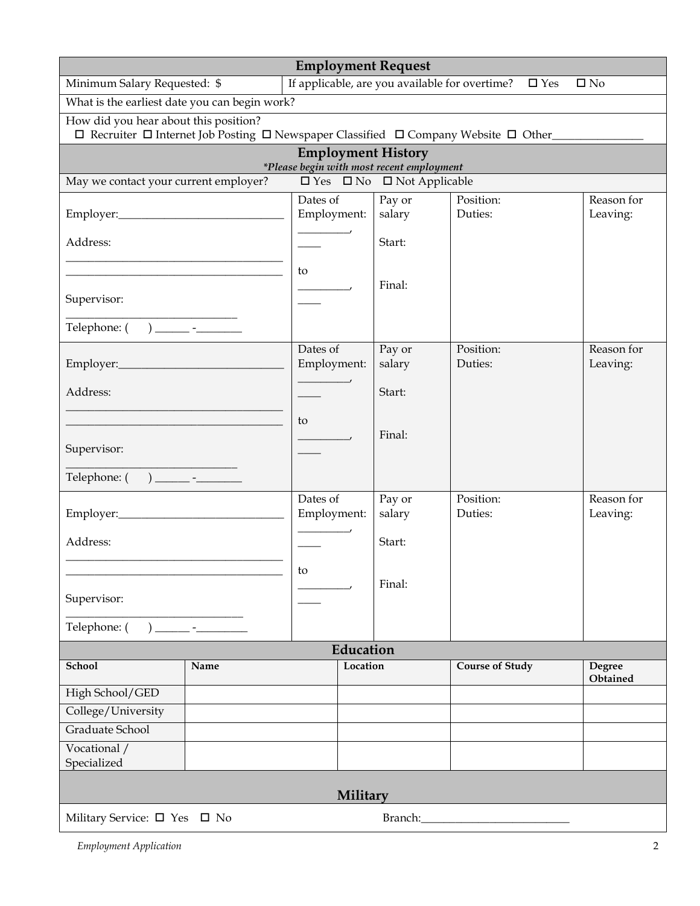| <b>Employment Request</b>                                                                                                                             |       |                                                |                  |                        |                        |  |
|-------------------------------------------------------------------------------------------------------------------------------------------------------|-------|------------------------------------------------|------------------|------------------------|------------------------|--|
| Minimum Salary Requested: \$                                                                                                                          |       | If applicable, are you available for overtime? |                  | $\square$ Yes          | $\square$ No           |  |
| What is the earliest date you can begin work?                                                                                                         |       |                                                |                  |                        |                        |  |
| How did you hear about this position?<br>$\Box$ Recruiter $\Box$ Internet Job Posting $\Box$ Newspaper Classified $\Box$ Company Website $\Box$ Other |       |                                                |                  |                        |                        |  |
|                                                                                                                                                       |       | <b>Employment History</b>                      |                  |                        |                        |  |
| *Please begin with most recent employment<br>$\square$ Yes $\square$ No $\square$ Not Applicable<br>May we contact your current employer?             |       |                                                |                  |                        |                        |  |
|                                                                                                                                                       |       | Dates of                                       |                  | Position:              | Reason for             |  |
|                                                                                                                                                       |       | Employment:                                    | Pay or<br>salary | Duties:                | Leaving:               |  |
| Address:                                                                                                                                              |       |                                                | Start:           |                        |                        |  |
|                                                                                                                                                       |       | to                                             |                  |                        |                        |  |
| Supervisor:                                                                                                                                           |       |                                                | Final:           |                        |                        |  |
|                                                                                                                                                       |       |                                                |                  |                        |                        |  |
|                                                                                                                                                       |       | Dates of<br>Employment:                        | Pay or<br>salary | Position:<br>Duties:   | Reason for<br>Leaving: |  |
| Address:                                                                                                                                              |       |                                                | Start:           |                        |                        |  |
|                                                                                                                                                       |       | to                                             | Final:           |                        |                        |  |
| Supervisor:                                                                                                                                           |       |                                                |                  |                        |                        |  |
|                                                                                                                                                       |       |                                                |                  |                        |                        |  |
|                                                                                                                                                       |       | Dates of<br>Employment:                        | Pay or<br>salary | Position:<br>Duties:   | Reason for<br>Leaving: |  |
| Address:                                                                                                                                              |       |                                                | Start:           |                        |                        |  |
|                                                                                                                                                       |       | to                                             | Final:           |                        |                        |  |
| Supervisor:                                                                                                                                           |       |                                                |                  |                        |                        |  |
| Telephone: (                                                                                                                                          | ) $-$ |                                                |                  |                        |                        |  |
|                                                                                                                                                       |       | Education                                      |                  |                        |                        |  |
| School                                                                                                                                                | Name  | Location                                       |                  | <b>Course of Study</b> | Degree<br>Obtained     |  |
| High School/GED                                                                                                                                       |       |                                                |                  |                        |                        |  |
| College/University                                                                                                                                    |       |                                                |                  |                        |                        |  |
| Graduate School                                                                                                                                       |       |                                                |                  |                        |                        |  |
| Vocational /<br>Specialized                                                                                                                           |       |                                                |                  |                        |                        |  |
| <b>Military</b>                                                                                                                                       |       |                                                |                  |                        |                        |  |
| Military Service: $\square$ Yes $\square$ No<br>Branch:                                                                                               |       |                                                |                  |                        |                        |  |

*Employment Application* 2